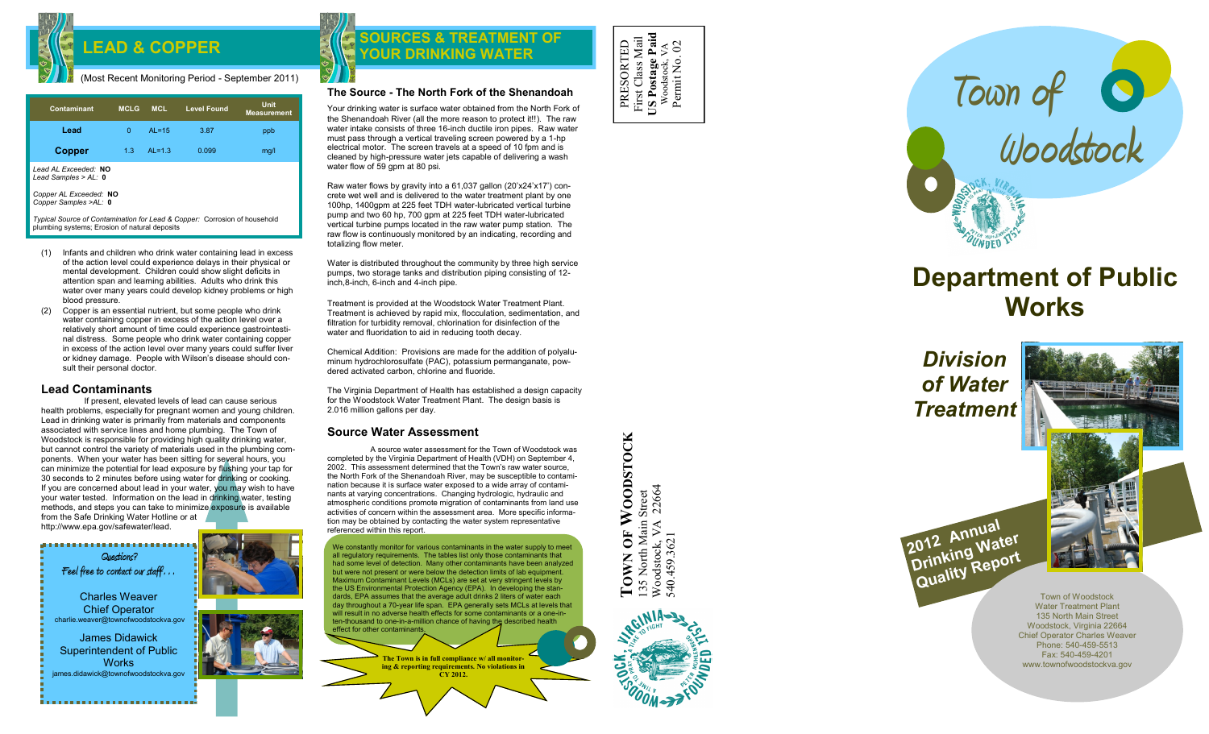

#### (Most Recent Monitoring Period - September 2011)

| Contaminant                                                               | <b>MCLG</b> | <b>MCL</b> | <b>Level Found</b> | Unit<br><b>Measurement</b> |  |  |
|---------------------------------------------------------------------------|-------------|------------|--------------------|----------------------------|--|--|
| Lead                                                                      | $\Omega$    | $AL = 15$  | 3.87               | ppb                        |  |  |
| <b>Copper</b>                                                             | 1.3         | $AL=1.3$   | 0.099              | mq/l                       |  |  |
| Lead AL Exceeded: NO<br>Lead Samples > $AL: 0$                            |             |            |                    |                            |  |  |
| Copper AL Exceeded: NO<br>Copper Samples >AL: 0                           |             |            |                    |                            |  |  |
| Tunical Source of Contamination for Lead & Conner: Corrosion of bousehold |             |            |                    |                            |  |  |

*Typical Source of Contamination for Lead & Copper:* Corrosion of household plumbing systems; Erosion of natural deposits

- (1) Infants and children who drink water containing lead in excess of the action level could experience delays in their physical or mental development. Children could show slight deficits in attention span and learning abilities. Adults who drink this water over many years could develop kidney problems or high blood pressure.
- (2) Copper is an essential nutrient, but some people who drink water containing copper in excess of the action level over a relatively short amount of time could experience gastrointestinal distress. Some people who drink water containing copper in excess of the action level over many years could suffer liver or kidney damage. People with Wilson's disease should consult their personal doctor.

# **Lead Contaminants**

If present, elevated levels of lead can cause serious health problems, especially for pregnant women and young children. Lead in drinking water is primarily from materials and components associated with service lines and home plumbing. The Town of Woodstock is responsible for providing high quality drinking water, but cannot control the variety of materials used in the plumbing components. When your water has been sitting for several hours, you can minimize the potential for lead exposure by flushing your tap for 30 seconds to 2 minutes before using water for drinking or cooking. If you are concerned about lead in your water, you may wish to have your water tested. Information on the lead in drinking water, testing methods, and steps you can take to minimize exposure is available from the Safe Drinking Water Hotline or at http://www.epa.gov/safewater/lead.

,,,,,,,,,,,,,,,,,,,,,,,,,, **Questions? Feel free to contact our staff…** Charles Weaver Chief Operator charlie.weaver@townofwoodstockva.gov James Didawick Superintendent of Public **Works** james.didawick@townofwoodstockva.gov

# LEAD & COPPER **EXISTENCES** & TREATMEN **SOURCES & TREATMENT OF**  $\begin{bmatrix} 0 & \frac{\pi}{8} & \frac{\pi}{8} & \frac{\pi}{8} \\ \frac{\pi}{8} & \frac{\pi}{8} & \frac{\pi}{8} & \frac{\pi}{8} \end{bmatrix}$

### **The Source - The North Fork of the Shenandoah**

Your drinking water is surface water obtained from the North Fork of the Shenandoah River (all the more reason to protect it!!). The raw water intake consists of three 16-inch ductile iron pipes. Raw water must pass through a vertical traveling screen powered by a 1 -hp electrical motor. The screen travels at a speed of 10 fpm and is cleaned by high -pressure water jets capable of delivering a wash water flow of  $\overline{59}$  gpm at 80 psi.

Raw water flows by gravity into a 61,037 gallon (20'x24'x17') concrete wet well and is delivered to the water treatment plant by one 100hp, 1400gpm at 225 feet TDH water -lubricated vertical turbine pump and two 60 hp, 700 gpm at 225 feet TDH water -lubricated vertical turbine pumps located in the raw water pump station. The raw flow is continuously monitored by an indicating, recording and totalizing flow meter.

Water is distributed throughout the community by three high service pumps, two storage tanks and distribution piping consisting of 12 inch,8 -inch, 6 -inch and 4 -inch pipe.

Treatment is provided at the Woodstock Water Treatment Plant. Treatment is achieved by rapid mix, flocculation, sedimentation, and filtration for turbidity removal, chlorination for disinfection of the water and fluoridation to aid in reducing tooth decay.

Chemical Addition: Provisions are made for the addition of polyaluminum hydrochlorosulfate (PAC), potassium permanganate, powdered activated carbon, chlorine and fluoride.

The Virginia Department of Health has established a design capacity for the Woodstock Water Treatment Plant. The design basis is 2.016 million gallons per day.

# **Source Water Assessment**

A source water assessment for the Town of Woodstock was completed by the Virginia Department of Health (VDH) on September 4, 2002. This assessment determined that the Town's raw water source, the North Fork of the Shenandoah River, may be susceptible to contamination because it is surface water exposed to a wide array of contaminants at varying concentrations. Changing hydrologic, hydraulic and atmospheric conditions promote migration of contaminants from land use activities of concern within the assessment area. More specific information may be obtained by contacting the water system representative referenced within this report.

We constantly monitor for various contaminants in the water supply to meet all regulatory requirements. The tables list only those contaminants that had some level of detection. Many other contaminants have been analyzed but were not present or were below the detection limits of lab equipment. Maximum Contaminant Levels (MCLs) are set at very stringent levels by the US Environmental Protection Agency (EPA). In developing the standards, EPA assumes that the average adult drinks 2 liters of water each day throughout a 70 -year life span. EPA generally sets MCLs at levels that will result in no adverse health effects for some contaminants or a one-inten-thousand to one-in-a-million chance of having the described health effect for other contaminants.

> **The Town is in full compliance w/ all monitoring & reporting requirements. No violations in CY 2012.**

PRESORTED First Class Mail **US Postage Paid** First Class Mail<br>US Postage Paid<br>Woodstock, VA<br>Permit No. 02 Permit No. 02



# **Department of Public Works**

*Division of Water Treatment*



Town of Woodstock Water Treatment Plant 135 North Main Street Woodstock, Virginia 22664 Chief Operator Charles Weaver Phone: 540-459-5513 Fax: 540 -459 -4201 www.townofwoodstockva.gov

OF WOODSTOCK **TOWN OF WOODSTOCK** 135 North Main Street<br>Woodstock, VA 22664<br>540.459.3621 Woodstock, VA 22664 135 North Main Street TOWN